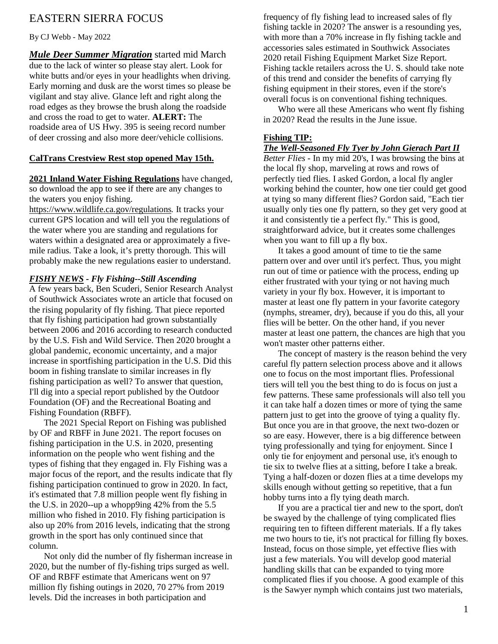# EASTERN SIERRA FOCUS

By CJ Webb - May 2022

*Mule Deer Summer Migration* started mid March due to the lack of winter so please stay alert. Look for white butts and/or eyes in your headlights when driving. Early morning and dusk are the worst times so please be vigilant and stay alive. Glance left and right along the road edges as they browse the brush along the roadside and cross the road to get to water. **ALERT:** The roadside area of US Hwy. 395 is seeing record number of deer crossing and also more deer/vehicle collisions.

#### **CalTrans Crestview Rest stop opened May 15th.**

**2021 Inland Water Fishing Regulations** have changed, so download the app to see if there are any changes to the waters you enjoy fishing.

<https://www.wildlife.ca.gov/regulations>*.* It tracks your current GPS location and will tell you the regulations of the water where you are standing and regulations for waters within a designated area or approximately a fivemile radius. Take a look, it's pretty thorough. This will probably make the new regulations easier to understand.

#### *FISHY NEWS - Fly Fishing--Still Ascending*

A few years back, Ben Scuderi, Senior Research Analyst of Southwick Associates wrote an article that focused on the rising popularity of fly fishing. That piece reported that fly fishing participation had grown substantially between 2006 and 2016 according to research conducted by the U.S. Fish and Wild Service. Then 2020 brought a global pandemic, economic uncertainty, and a major increase in sportfishing participation in the U.S. Did this boom in fishing translate to similar increases in fly fishing participation as well? To answer that question, I'll dig into a special report published by the Outdoor Foundation (OF) and the Recreational Boating and Fishing Foundation (RBFF).

The 2021 Special Report on Fishing was published by OF and RBFF in June 2021. The report focuses on fishing participation in the U.S. in 2020, presenting information on the people who went fishing and the types of fishing that they engaged in. Fly Fishing was a major focus of the report, and the results indicate that fly fishing participation continued to grow in 2020. In fact, it's estimated that 7.8 million people went fly fishing in the U.S. in 2020--up a whopp9ing 42% from the 5.5 million who fished in 2010. Fly fishing participation is also up 20% from 2016 levels, indicating that the strong growth in the sport has only continued since that column.

Not only did the number of fly fisherman increase in 2020, but the number of fly-fishing trips surged as well. OF and RBFF estimate that Americans went on 97 million fly fishing outings in 2020, 70 27% from 2019 levels. Did the increases in both participation and

frequency of fly fishing lead to increased sales of fly fishing tackle in 2020? The answer is a resounding yes, with more than a 70% increase in fly fishing tackle and accessories sales estimated in Southwick Associates 2020 retail Fishing Equipment Market Size Report. Fishing tackle retailers across the U. S. should take note of this trend and consider the benefits of carrying fly fishing equipment in their stores, even if the store's overall focus is on conventional fishing techniques.

Who were all these Americans who went fly fishing in 2020? Read the results in the June issue.

#### **Fishing TIP:**

#### *The Well-Seasoned Fly Tyer by John Gierach Part II*

*Better Flies -* In my mid 20's, I was browsing the bins at the local fly shop, marveling at rows and rows of perfectly tied flies. I asked Gordon, a local fly angler working behind the counter, how one tier could get good at tying so many different flies? Gordon said, "Each tier usually only ties one fly pattern, so they get very good at it and consistently tie a perfect fly." This is good, straightforward advice, but it creates some challenges when you want to fill up a fly box.

It takes a good amount of time to tie the same pattern over and over until it's perfect. Thus, you might run out of time or patience with the process, ending up either frustrated with your tying or not having much variety in your fly box. However, it is important to master at least one fly pattern in your favorite category (nymphs, streamer, dry), because if you do this, all your flies will be better. On the other hand, if you never master at least one pattern, the chances are high that you won't master other patterns either.

The concept of mastery is the reason behind the very careful fly pattern selection process above and it allows one to focus on the most important flies. Professional tiers will tell you the best thing to do is focus on just a few patterns. These same professionals will also tell you it can take half a dozen times or more of tying the same pattern just to get into the groove of tying a quality fly. But once you are in that groove, the next two-dozen or so are easy. However, there is a big difference between tying professionally and tying for enjoyment. Since I only tie for enjoyment and personal use, it's enough to tie six to twelve flies at a sitting, before I take a break. Tying a half-dozen or dozen flies at a time develops my skills enough without getting so repetitive, that a fun hobby turns into a fly tying death march.

If you are a practical tier and new to the sport, don't be swayed by the challenge of tying complicated flies requiring ten to fifteen different materials. If a fly takes me two hours to tie, it's not practical for filling fly boxes. Instead, focus on those simple, yet effective flies with just a few materials. You will develop good material handling skills that can be expanded to tying more complicated flies if you choose. A good example of this is the Sawyer nymph which contains just two materials,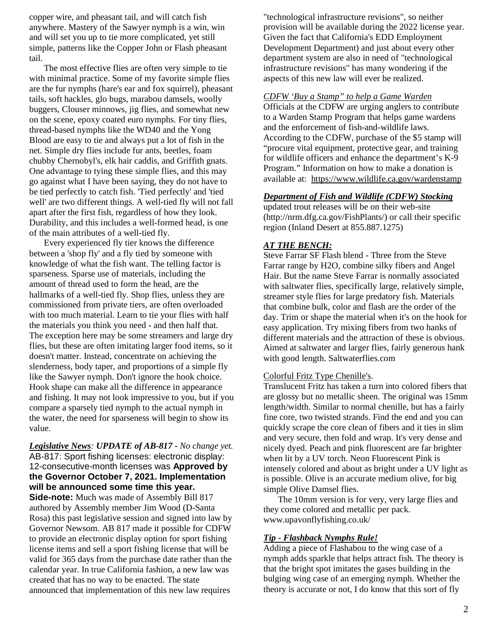copper wire, and pheasant tail, and will catch fish anywhere. Mastery of the Sawyer nymph is a win, win and will set you up to tie more complicated, yet still simple, patterns like the Copper John or Flash pheasant tail.

The most effective flies are often very simple to tie with minimal practice. Some of my favorite simple flies are the fur nymphs (hare's ear and fox squirrel), pheasant tails, soft hackles, glo bugs, marabou damsels, woolly buggers, Clouser minnows, jig flies, and somewhat new on the scene, epoxy coated euro nymphs. For tiny flies, thread-based nymphs like the WD40 and the Yong Blood are easy to tie and always put a lot of fish in the net. Simple dry flies include fur ants, beetles, foam chubby Chernobyl's, elk hair caddis, and Griffith gnats. One advantage to tying these simple flies, and this may go against what I have been saying, they do not have to be tied perfectly to catch fish. 'Tied perfectly' and 'tied well' are two different things. A well-tied fly will not fall apart after the first fish, regardless of how they look. Durability, and this includes a well-formed head, is one of the main attributes of a well-tied fly.

Every experienced fly tier knows the difference between a 'shop fly' and a fly tied by someone with knowledge of what the fish want. The telling factor is sparseness. Sparse use of materials, including the amount of thread used to form the head, are the hallmarks of a well-tied fly. Shop flies, unless they are commissioned from private tiers, are often overloaded with too much material. Learn to tie your flies with half the materials you think you need - and then half that. The exception here may be some streamers and large dry flies, but these are often imitating larger food items, so it doesn't matter. Instead, concentrate on achieving the slenderness, body taper, and proportions of a simple fly like the Sawyer nymph. Don't ignore the hook choice. Hook shape can make all the difference in appearance and fishing. It may not look impressive to you, but if you compare a sparsely tied nymph to the actual nymph in the water, the need for sparseness will begin to show its value.

### *Legislative News: UPDATE of AB-817 - No change yet.* AB-817: Sport fishing licenses: electronic display: 12-consecutive-month licenses was **Approved by the Governor October 7, 2021. Implementation will be announced some time this year.**

**Side-note:** Much was made of Assembly Bill 817 authored by Assembly member Jim Wood (D-Santa Rosa) this past legislative session and signed into law by Governor Newsom. AB 817 made it possible for CDFW to provide an electronic display option for sport fishing license items and sell a sport fishing license that will be valid for 365 days from the purchase date rather than the calendar year. In true California fashion, a new law was created that has no way to be enacted. The state announced that implementation of this new law requires

"technological infrastructure revisions", so neither provision will be available during the 2022 license year. Given the fact that California's EDD Employment Development Department) and just about every other department system are also in need of "technological infrastructure revisions" has many wondering if the aspects of this new law will ever be realized.

#### *CDFW 'Buy a Stamp" to help a Game Warden*

Officials at the CDFW are urging anglers to contribute to a Warden Stamp Program that helps game wardens and the enforcement of fish-and-wildlife laws. According to the CDFW, purchase of the \$5 stamp will "procure vital equipment, protective gear, and training for wildlife officers and enhance the department's K-9 Program." Information on how to make a donation is available at: <https://www.wildlife.ca.gov/wardenstamp>

#### *Department of Fish and Wildlife (CDFW) Stocking*

updated trout releases will be on their web-site (http://nrm.dfg.ca.gov/FishPlants/) or call their specific region (Inland Desert at 855.887.1275)

#### *AT THE BENCH:*

Steve Farrar SF Flash blend - Three from the Steve Farrar range by H2O, combine silky fibers and Angel Hair. But the name Steve Farrar is normally associated with saltwater flies, specifically large, relatively simple, streamer style flies for large predatory fish. Materials that combine bulk, color and flash are the order of the day. Trim or shape the material when it's on the hook for easy application. Try mixing fibers from two hanks of different materials and the attraction of these is obvious. Aimed at saltwater and larger flies, fairly generous hank with good length. Saltwaterflies.com

#### Colorful Fritz Type Chenille's.

Translucent Fritz has taken a turn into colored fibers that are glossy but no metallic sheen. The original was 15mm length/width. Similar to normal chenille, but has a fairly fine core, two twisted strands. Find the end and you can quickly scrape the core clean of fibers and it ties in slim and very secure, then fold and wrap. It's very dense and nicely dyed. Peach and pink fluorescent are far brighter when lit by a UV torch. Neon Fluorescent Pink is intensely colored and about as bright under a UV light as is possible. Olive is an accurate medium olive, for big simple Olive Damsel flies.

The 10mm version is for very, very large flies and they come colored and metallic per pack. www.upavonflyfishing.co.uk/

#### *Tip - Flashback Nymphs Rule!*

Adding a piece of Flashabou to the wing case of a nymph adds sparkle that helps attract fish. The theory is that the bright spot imitates the gases building in the bulging wing case of an emerging nymph. Whether the theory is accurate or not, I do know that this sort of fly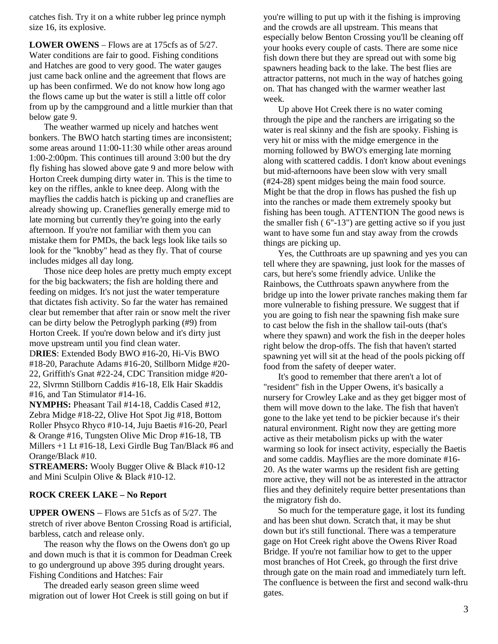catches fish. Try it on a white rubber leg prince nymph size 16, its explosive.

**LOWER OWENS** – Flows are at 175cfs as of 5/27. Water conditions are fair to good. Fishing conditions and Hatches are good to very good. The water gauges just came back online and the agreement that flows are up has been confirmed. We do not know how long ago the flows came up but the water is still a little off color from up by the campground and a little murkier than that below gate 9.

The weather warmed up nicely and hatches went bonkers. The BWO hatch starting times are inconsistent; some areas around 11:00-11:30 while other areas around 1:00-2:00pm. This continues till around 3:00 but the dry fly fishing has slowed above gate 9 and more below with Horton Creek dumping dirty water in. This is the time to key on the riffles, ankle to knee deep. Along with the mayflies the caddis hatch is picking up and craneflies are already showing up. Craneflies generally emerge mid to late morning but currently they're going into the early afternoon. If you're not familiar with them you can mistake them for PMDs, the back legs look like tails so look for the "knobby" head as they fly. That of course includes midges all day long.

Those nice deep holes are pretty much empty except for the big backwaters; the fish are holding there and feeding on midges. It's not just the water temperature that dictates fish activity. So far the water has remained clear but remember that after rain or snow melt the river can be dirty below the Petroglyph parking (#9) from Horton Creek. If you're down below and it's dirty just move upstream until you find clean water.

D**RIES**: Extended Body BWO #16-20, Hi-Vis BWO #18-20, Parachute Adams #16-20, Stillborn Midge #20- 22, Griffith's Gnat #22-24, CDC Transition midge #20- 22, Slvrmn Stillborn Caddis #16-18, Elk Hair Skaddis #16, and Tan Stimulator #14-16.

**NYMPHS:** Pheasant Tail #14-18, Caddis Cased #12, Zebra Midge #18-22, Olive Hot Spot Jig #18, Bottom Roller Phsyco Rhyco #10-14, Juju Baetis #16-20, Pearl & Orange #16, Tungsten Olive Mic Drop #16-18, TB Millers +1 Lt #16-18, Lexi Girdle Bug Tan/Black #6 and Orange/Black #10.

**STREAMERS:** Wooly Bugger Olive & Black #10-12 and Mini Sculpin Olive & Black #10-12.

#### **ROCK CREEK LAKE – No Report**

**UPPER OWENS** – Flows are 51cfs as of 5/27. The stretch of river above Benton Crossing Road is artificial, barbless, catch and release only.

The reason why the flows on the Owens don't go up and down much is that it is common for Deadman Creek to go underground up above 395 during drought years. Fishing Conditions and Hatches: Fair

The dreaded early season green slime weed migration out of lower Hot Creek is still going on but if you're willing to put up with it the fishing is improving and the crowds are all upstream. This means that especially below Benton Crossing you'll be cleaning off your hooks every couple of casts. There are some nice fish down there but they are spread out with some big spawners heading back to the lake. The best flies are attractor patterns, not much in the way of hatches going on. That has changed with the warmer weather last week.

Up above Hot Creek there is no water coming through the pipe and the ranchers are irrigating so the water is real skinny and the fish are spooky. Fishing is very hit or miss with the midge emergence in the morning followed by BWO's emerging late morning along with scattered caddis. I don't know about evenings but mid-afternoons have been slow with very small (#24-28) spent midges being the main food source. Might be that the drop in flows has pushed the fish up into the ranches or made them extremely spooky but fishing has been tough. ATTENTION The good news is the smaller fish ( 6"-13") are getting active so if you just want to have some fun and stay away from the crowds things are picking up.

Yes, the Cutthroats are up spawning and yes you can tell where they are spawning, just look for the masses of cars, but here's some friendly advice. Unlike the Rainbows, the Cutthroats spawn anywhere from the bridge up into the lower private ranches making them far more vulnerable to fishing pressure. We suggest that if you are going to fish near the spawning fish make sure to cast below the fish in the shallow tail-outs (that's where they spawn) and work the fish in the deeper holes right below the drop-offs. The fish that haven't started spawning yet will sit at the head of the pools picking off food from the safety of deeper water.

It's good to remember that there aren't a lot of "resident" fish in the Upper Owens, it's basically a nursery for Crowley Lake and as they get bigger most of them will move down to the lake. The fish that haven't gone to the lake yet tend to be pickier because it's their natural environment. Right now they are getting more active as their metabolism picks up with the water warming so look for insect activity, especially the Baetis and some caddis. Mayflies are the more dominate #16- 20. As the water warms up the resident fish are getting more active, they will not be as interested in the attractor flies and they definitely require better presentations than the migratory fish do.

So much for the temperature gage, it lost its funding and has been shut down. Scratch that, it may be shut down but it's still functional. There was a temperature gage on Hot Creek right above the Owens River Road Bridge. If you're not familiar how to get to the upper most branches of Hot Creek, go through the first drive through gate on the main road and immediately turn left. The confluence is between the first and second walk-thru gates.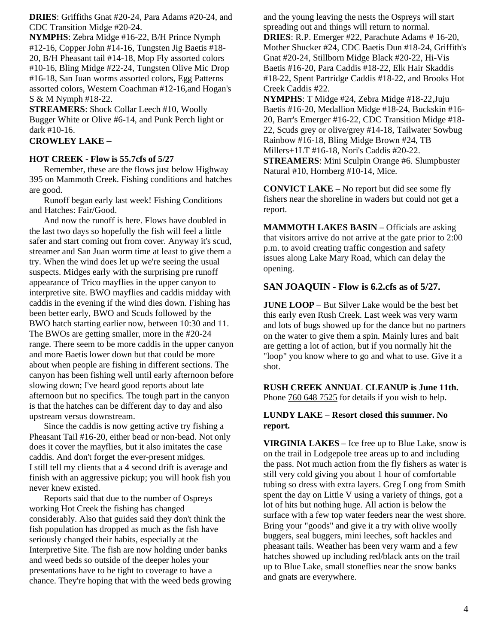**DRIES**: Griffiths Gnat #20-24, Para Adams #20-24, and CDC Transition Midge #20-24.

**NYMPHS**: Zebra Midge #16-22, B/H Prince Nymph #12-16, Copper John #14-16, Tungsten Jig Baetis #18- 20, B/H Pheasant tail #14-18, Mop Fly assorted colors #10-16, Bling Midge #22-24, Tungsten Olive Mic Drop #16-18, San Juan worms assorted colors, Egg Patterns assorted colors, Western Coachman #12-16,and Hogan's S & M Nymph #18-22.

**STREAMERS**: Shock Collar Leech #10, Woolly Bugger White or Olive #6-14, and Punk Perch light or dark #10-16.

### **CROWLEY LAKE** –

#### **HOT CREEK - Flow is 55.7cfs of 5/27**

Remember, these are the flows just below Highway 395 on Mammoth Creek. Fishing conditions and hatches are good.

Runoff began early last week! Fishing Conditions and Hatches: Fair/Good.

And now the runoff is here. Flows have doubled in the last two days so hopefully the fish will feel a little safer and start coming out from cover. Anyway it's scud, streamer and San Juan worm time at least to give them a try. When the wind does let up we're seeing the usual suspects. Midges early with the surprising pre runoff appearance of Trico mayflies in the upper canyon to interpretive site. BWO mayflies and caddis midday with caddis in the evening if the wind dies down. Fishing has been better early, BWO and Scuds followed by the BWO hatch starting earlier now, between 10:30 and 11. The BWOs are getting smaller, more in the #20-24 range. There seem to be more caddis in the upper canyon and more Baetis lower down but that could be more about when people are fishing in different sections. The canyon has been fishing well until early afternoon before slowing down; I've heard good reports about late afternoon but no specifics. The tough part in the canyon is that the hatches can be different day to day and also upstream versus downstream.

Since the caddis is now getting active try fishing a Pheasant Tail #16-20, either bead or non-bead. Not only does it cover the mayflies, but it also imitates the case caddis. And don't forget the ever-present midges. I still tell my clients that a 4 second drift is average and finish with an aggressive pickup; you will hook fish you never knew existed.

Reports said that due to the number of Ospreys working Hot Creek the fishing has changed considerably. Also that guides said they don't think the fish population has dropped as much as the fish have seriously changed their habits, especially at the Interpretive Site. The fish are now holding under banks and weed beds so outside of the deeper holes your presentations have to be tight to coverage to have a chance. They're hoping that with the weed beds growing and the young leaving the nests the Ospreys will start spreading out and things will return to normal.

**DRIES**: R.P. Emerger #22, Parachute Adams # 16-20, Mother Shucker #24, CDC Baetis Dun #18-24, Griffith's Gnat #20-24, Stillborn Midge Black #20-22, Hi-Vis Baetis #16-20, Para Caddis #18-22, Elk Hair Skaddis #18-22, Spent Partridge Caddis #18-22, and Brooks Hot Creek Caddis #22.

**NYMPHS**: T Midge #24, Zebra Midge #18-22,Juju Baetis #16-20, Medallion Midge #18-24, Buckskin #16- 20, Barr's Emerger #16-22, CDC Transition Midge #18- 22, Scuds grey or olive/grey #14-18, Tailwater Sowbug Rainbow #16-18, Bling Midge Brown #24, TB Millers+1LT #16-18, Nori's Caddis #20-22. **STREAMERS**: Mini Sculpin Orange #6. Slumpbuster Natural #10, Hornberg #10-14, Mice.

**CONVICT LAKE** – No report but did see some fly fishers near the shoreline in waders but could not get a report.

**MAMMOTH LAKES BASIN** – Officials are asking that visitors arrive do not arrive at the gate prior to 2:00 p.m. to avoid creating traffic congestion and safety issues along Lake Mary Road, which can delay the opening.

### **SAN JOAQUIN - Flow is 6.2.cfs as of 5/27.**

**JUNE LOOP** – But Silver Lake would be the best bet this early even Rush Creek. Last week was very warm and lots of bugs showed up for the dance but no partners on the water to give them a spin. Mainly lures and bait are getting a lot of action, but if you normally hit the "loop" you know where to go and what to use. Give it a shot.

**RUSH CREEK ANNUAL CLEANUP is June 11th.** Phone  $760 648 7525$  for details if you wish to help.

### **LUNDY LAKE** – **Resort closed this summer. No report.**

**VIRGINIA LAKES** – Ice free up to Blue Lake, snow is on the trail in Lodgepole tree areas up to and including the pass. Not much action from the fly fishers as water is still very cold giving you about 1 hour of comfortable tubing so dress with extra layers. Greg Long from Smith spent the day on Little V using a variety of things, got a lot of hits but nothing huge. All action is below the surface with a few top water feeders near the west shore. Bring your "goods" and give it a try with olive woolly buggers, seal buggers, mini leeches, soft hackles and pheasant tails. Weather has been very warm and a few hatches showed up including red/black ants on the trail up to Blue Lake, small stoneflies near the snow banks and gnats are everywhere.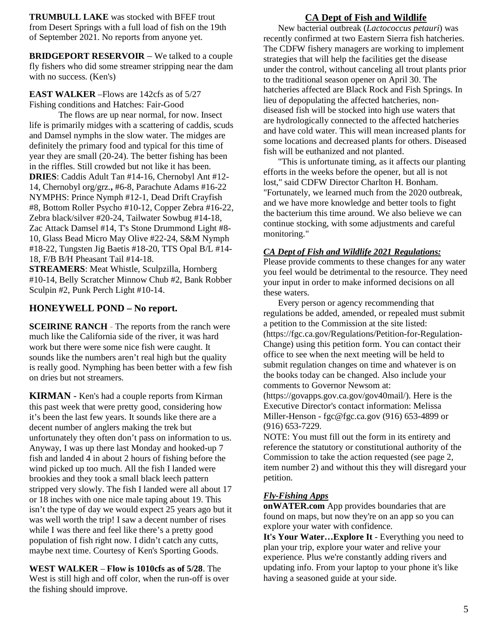**TRUMBULL LAKE** was stocked with BFEF trout from Desert Springs with a full load of fish on the 19th of September 2021. No reports from anyone yet.

**BRIDGEPORT RESERVOIR** – We talked to a couple fly fishers who did some streamer stripping near the dam with no success. (Ken's)

### **EAST WALKER** –Flows are 142cfs as of 5/27 Fishing conditions and Hatches: Fair-Good

The flows are up near normal, for now. Insect life is primarily midges with a scattering of caddis, scuds and Damsel nymphs in the slow water. The midges are definitely the primary food and typical for this time of year they are small (20-24). The better fishing has been in the riffles. Still crowded but not like it has been. **DRIES**: Caddis Adult Tan #14-16, Chernobyl Ant #12- 14, Chernobyl org/grz.**,** #6-8, Parachute Adams #16-22 NYMPHS: Prince Nymph #12-1, Dead Drift Crayfish #8, Bottom Roller Psycho #10-12, Copper Zebra #16-22, Zebra black/silver #20-24, Tailwater Sowbug #14-18, Zac Attack Damsel #14, T's Stone Drummond Light #8- 10, Glass Bead Micro May Olive #22-24, S&M Nymph #18-22, Tungsten Jig Baetis #18-20, TTS Opal B/L #14- 18, F/B B/H Pheasant Tail #14-18.

**STREAMERS**: Meat Whistle, Sculpzilla, Hornberg #10-14, Belly Scratcher Minnow Chub #2, Bank Robber Sculpin #2, Punk Perch Light #10-14.

# **HONEYWELL POND – No report.**

**SCEIRINE RANCH** - The reports from the ranch were much like the California side of the river, it was hard work but there were some nice fish were caught. It sounds like the numbers aren't real high but the quality is really good. Nymphing has been better with a few fish on dries but not streamers.

**KIRMAN** - Ken's had a couple reports from Kirman this past week that were pretty good, considering how it's been the last few years. It sounds like there are a decent number of anglers making the trek but unfortunately they often don't pass on information to us. Anyway, I was up there last Monday and hooked-up 7 fish and landed 4 in about 2 hours of fishing before the wind picked up too much. All the fish I landed were brookies and they took a small black leech pattern stripped very slowly. The fish I landed were all about 17 or 18 inches with one nice male taping about 19. This isn't the type of day we would expect 25 years ago but it was well worth the trip! I saw a decent number of rises while I was there and feel like there's a pretty good population of fish right now. I didn't catch any cutts, maybe next time. Courtesy of Ken's Sporting Goods.

**WEST WALKER** – **Flow is 1010cfs as of 5/28**. The West is still high and off color, when the run-off is over the fishing should improve.

# **CA Dept of Fish and Wildlife**

New bacterial outbreak (*Lactococcus petauri*) was recently confirmed at two Eastern Sierra fish hatcheries. The CDFW fishery managers are working to implement strategies that will help the facilities get the disease under the control, without canceling all trout plants prior to the traditional season opener on April 30. The hatcheries affected are Black Rock and Fish Springs. In lieu of depopulating the affected hatcheries, nondiseased fish will be stocked into high use waters that are hydrologically connected to the affected hatcheries and have cold water. This will mean increased plants for some locations and decreased plants for others. Diseased fish will be euthanized and not planted.

"This is unfortunate timing, as it affects our planting efforts in the weeks before the opener, but all is not lost," said CDFW Director Charlton H. Bonham. "Fortunately, we learned much from the 2020 outbreak, and we have more knowledge and better tools to fight the bacterium this time around. We also believe we can continue stocking, with some adjustments and careful monitoring."

### *CA Dept of Fish and Wildlife 2021 Regulations:*

Please provide comments to these changes for any water you feel would be detrimental to the resource. They need your input in order to make informed decisions on all these waters.

Every person or agency recommending that regulations be added, amended, or repealed must submit a petition to the Commission at the site listed: (https://fgc.ca.gov/Regulations/Petition-for-Regulation-Change) using this petition form. You can contact their office to see when the next meeting will be held to submit regulation changes on time and whatever is on the books today can be changed. Also include your comments to Governor Newsom at:

(https://govapps.gov.ca.gov/gov40mail/). Here is the Executive Director's contact information: Melissa Miller-Henson - fgc@fgc.ca.gov (916) 653-4899 or (916) 653-7229.

NOTE: You must fill out the form in its entirety and reference the statutory or constitutional authority of the Commission to take the action requested (see page 2, item number 2) and without this they will disregard your petition.

### *Fly-Fishing Apps*

**onWATER.com** App provides boundaries that are found on maps, but now they're on an app so you can explore your water with confidence.

**It's Your Water…Explore It** - Everything you need to plan your trip, explore your water and relive your experience. Plus we're constantly adding rivers and updating info. From your laptop to your phone it's like having a seasoned guide at your side.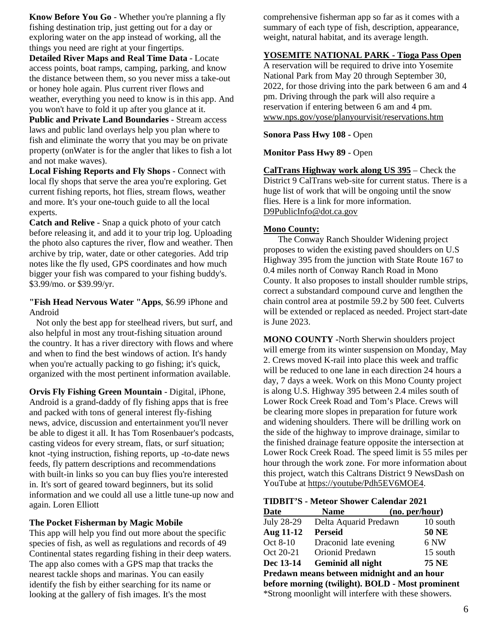**Know Before You Go** - Whether you're planning a fly fishing destination trip, just getting out for a day or exploring water on the app instead of working, all the things you need are right at your fingertips.

**Detailed River Maps and Real Time Data** - Locate access points, boat ramps, camping, parking, and know the distance between them, so you never miss a take-out or honey hole again. Plus current river flows and weather, everything you need to know is in this app. And you won't have to fold it up after you glance at it.

**Public and Private Land Boundaries** - Stream access laws and public land overlays help you plan where to fish and eliminate the worry that you may be on private property (onWater is for the angler that likes to fish a lot and not make waves).

**Local Fishing Reports and Fly Shops** - Connect with local fly shops that serve the area you're exploring. Get current fishing reports, hot flies, stream flows, weather and more. It's your one-touch guide to all the local experts.

**Catch and Relive** - Snap a quick photo of your catch before releasing it, and add it to your trip log. Uploading the photo also captures the river, flow and weather. Then archive by trip, water, date or other categories. Add trip notes like the fly used, GPS coordinates and how much bigger your fish was compared to your fishing buddy's. \$3.99/mo. or \$39.99/yr.

### **"Fish Head Nervous Water "Apps**, \$6.99 iPhone and Android

 Not only the best app for steelhead rivers, but surf, and also helpful in most any trout-fishing situation around the country. It has a river directory with flows and where and when to find the best windows of action. It's handy when you're actually packing to go fishing; it's quick, organized with the most pertinent information available.

**Orvis Fly Fishing Green Mountain** - Digital, iPhone, Android is a grand-daddy of fly fishing apps that is free and packed with tons of general interest fly-fishing news, advice, discussion and entertainment you'll never be able to digest it all. It has Tom Rosenbauer's podcasts, casting videos for every stream, flats, or surf situation; knot -tying instruction, fishing reports, up -to-date news feeds, fly pattern descriptions and recommendations with built-in links so you can buy flies you're interested in. It's sort of geared toward beginners, but its solid information and we could all use a little tune-up now and again. Loren Elliott

### **The Pocket Fisherman by Magic Mobile**

This app will help you find out more about the specific species of fish, as well as regulations and records of 49 Continental states regarding fishing in their deep waters. The app also comes with a GPS map that tracks the nearest tackle shops and marinas. You can easily identify the fish by either searching for its name or looking at the gallery of fish images. It's the most

comprehensive fisherman app so far as it comes with a summary of each type of fish, description, appearance, weight, natural habitat, and its average length.

# **YOSEMITE NATIONAL PARK - Tioga Pass Open**

A reservation will be required to drive into Yosemite National Park from May 20 through September 30, 2022, for those driving into the park between 6 am and 4 pm. Driving through the park will also require a reservation if entering between 6 am and 4 pm. www.nps.gov/yose/planyourvisit/reservations.htm

### **Sonora Pass Hwy 108 -** Open

**Monitor Pass Hwy 89** - Open

**CalTrans Highway work along US 395** – Check the District 9 CalTrans web-site for current status. There is a huge list of work that will be ongoing until the snow flies. Here is a link for more information. [D9PublicInfo@dot.ca.gov](mailto:D9PublicInfo@dot.ca.gov)

### **Mono County:**

The Conway Ranch Shoulder Widening project proposes to widen the existing paved shoulders on U.S Highway 395 from the junction with State Route 167 to 0.4 miles north of Conway Ranch Road in Mono County. It also proposes to install shoulder rumble strips, correct a substandard compound curve and lengthen the chain control area at postmile 59.2 by 500 feet. Culverts will be extended or replaced as needed. Project start-date is June 2023.

**MONO COUNTY -**North Sherwin shoulders project will emerge from its winter suspension on Monday, May 2. Crews moved K-rail into place this week and traffic will be reduced to one lane in each direction 24 hours a day, 7 days a week. Work on this Mono County project is along U.S. Highway 395 between 2.4 miles south of Lower Rock Creek Road and Tom's Place. Crews will be clearing more slopes in preparation for future work and widening shoulders. There will be drilling work on the side of the highway to improve drainage, similar to the finished drainage feature opposite the intersection at Lower Rock Creek Road. The speed limit is 55 miles per hour through the work zone. For more information about this project, watch this Caltrans District 9 NewsDash on YouTube at [https://youtube/Pdh5EV6MOE4.](https://r20.rs6.net/tn.jsp?f=001EZt3WLp_f_bLge4zusdQGJvBQfPo3hTporxu5sBF7ugCtXglKBoM-7nqqPVhazfG7cblgadS2n066HZhcVJIEoRv9gzXkVdYe0jliS24q8USjKc8GO6bE-ou_dL5NAwZchbH3zh1yGYwuj6MV2hxCg==&c=P3iAVc61EJE_8G3K4wUy8x6XBM6cd5Mq6cJZvayuP0UdHl-Z3G0yVQ==&ch=UhxXHLEL7mkdQVJLGCN65VfgMNs97iB4yNSB1pjHRUJOc954Fb5trw==)

**TIDBIT'S - Meteor Shower Calendar 2021**

| <b>Date</b>                                | Name                                                 | (no. per/hour) |
|--------------------------------------------|------------------------------------------------------|----------------|
| <b>July 28-29</b>                          | Delta Aquarid Predawn                                | 10 south       |
| <b>Aug 11-12</b>                           | <b>Perseid</b>                                       | <b>50 NE</b>   |
| Oct 8-10                                   | Draconid late evening                                | 6 NW           |
| Oct 20-21                                  | Orionid Predawn                                      | 15 south       |
| Dec 13-14                                  | Geminid all night                                    | 75 NE          |
| Predawn means between midnight and an hour |                                                      |                |
|                                            | before morning (twilight). BOLD - Most prominent     |                |
|                                            | *Strong moonlight will interfere with these showers. |                |